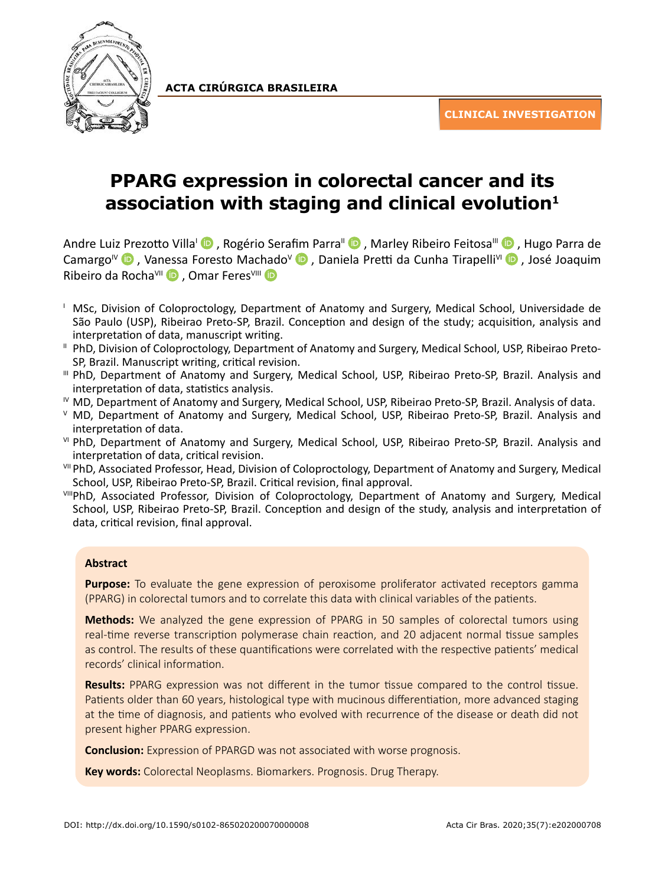

**ACTA CIRÚRGICA BRASILEIRA**

**CLINICAL INVESTIGATION**

# **PPARG expression in colorectal cancer and its association with staging and clinical evolution1**

Andre Lui[z Pre](https://orcid.org/0000-0001-7267-1880)zotto Villa<sup>i</sup> D, Rogério Sera[fim](https://orcid.org/0000-0002-8644-5881) Parra<sup>II</sup> D[,](https://orcid.org/0000-0002-1886-4988) Marley Ribeiro Feitosa<sup>III</sup> D, Hugo Parra de Camargo<sup>IV</sup> **D**, Va[ness](https://orcid.org/0000-0001-7118-0545)a Foresto Mac[had](https://orcid.org/0000-0003-3593-0526)o<sup>V</sup> **D**, Daniela Pretti da Cunha Tirapelli<sup>VI</sup> D, José Joaquim Ribeiro da Rocha<sup>VII</sup> D, Omar Feres<sup>VIII</sup> D

- <sup>1</sup> MSc, Division of Coloproctology, Department of Anatomy and Surgery, Medical School, Universidade de São Paulo (USP), Ribeirao Preto-SP, Brazil. Conception and design of the study; acquisition, analysis and interpretation of data, manuscript writing.
- II PhD, Division of Coloproctology, Department of Anatomy and Surgery, Medical School, USP, Ribeirao Preto-SP, Brazil. Manuscript writing, critical revision.
- III PhD, Department of Anatomy and Surgery, Medical School, USP, Ribeirao Preto-SP, Brazil. Analysis and interpretation of data, statistics analysis.
- IV MD, Department of Anatomy and Surgery, Medical School, USP, Ribeirao Preto-SP, Brazil. Analysis of data.
- <sup>V</sup> MD, Department of Anatomy and Surgery, Medical School, USP, Ribeirao Preto-SP, Brazil. Analysis and interpretation of data.
- VI PhD, Department of Anatomy and Surgery, Medical School, USP, Ribeirao Preto-SP, Brazil. Analysis and interpretation of data, critical revision.
- VII PhD, Associated Professor, Head, Division of Coloproctology, Department of Anatomy and Surgery, Medical School, USP, Ribeirao Preto-SP, Brazil. Critical revision, final approval.
- VIIIPhD, Associated Professor, Division of Coloproctology, Department of Anatomy and Surgery, Medical School, USP, Ribeirao Preto-SP, Brazil. Conception and design of the study, analysis and interpretation of data, critical revision, final approval.

# **Abstract**

**Purpose:** To evaluate the gene expression of peroxisome proliferator activated receptors gamma (PPARG) in colorectal tumors and to correlate this data with clinical variables of the patients.

**Methods:** We analyzed the gene expression of PPARG in 50 samples of colorectal tumors using real-time reverse transcription polymerase chain reaction, and 20 adjacent normal tissue samples as control. The results of these quantifications were correlated with the respective patients' medical records' clinical information.

**Results:** PPARG expression was not different in the tumor tissue compared to the control tissue. Patients older than 60 years, histological type with mucinous differentiation, more advanced staging at the time of diagnosis, and patients who evolved with recurrence of the disease or death did not present higher PPARG expression.

**Conclusion:** Expression of PPARGD was not associated with worse prognosis.

**Key words:** Colorectal Neoplasms. Biomarkers. Prognosis. Drug Therapy.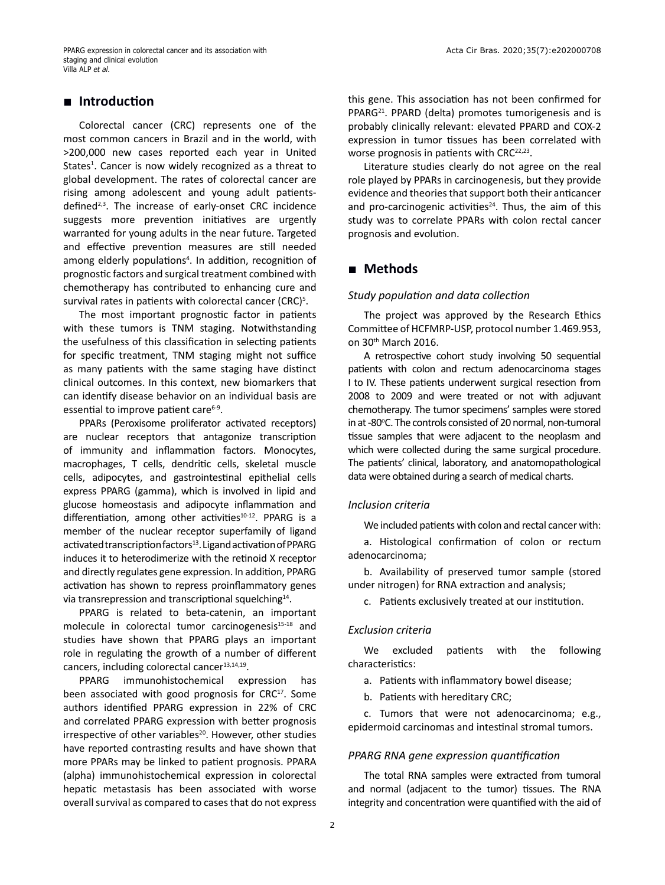## **■ Introduction**

Colorectal cancer (CRC) represents one of the most common cancers in Brazil and in the world, with >200,000 new cases reported each year in United States<sup>1</sup>. Cancer is now widely recognized as a threat to global development. The rates of colorectal cancer are rising among adolescent and young adult patientsdefined2,3. The increase of early-onset CRC incidence suggests more prevention initiatives are urgently warranted for young adults in the near future. Targeted and effective prevention measures are still needed among elderly populations<sup>4</sup>. In addition, recognition of prognostic factors and surgical treatment combined with chemotherapy has contributed to enhancing cure and survival rates in patients with colorectal cancer (CRC)<sup>5</sup>.

The most important prognostic factor in patients with these tumors is TNM staging. Notwithstanding the usefulness of this classification in selecting patients for specific treatment, TNM staging might not suffice as many patients with the same staging have distinct clinical outcomes. In this context, new biomarkers that can identify disease behavior on an individual basis are essential to improve patient care<sup>6-9</sup>.

PPARs (Peroxisome proliferator activated receptors) are nuclear receptors that antagonize transcription of immunity and inflammation factors. Monocytes, macrophages, T cells, dendritic cells, skeletal muscle cells, adipocytes, and gastrointestinal epithelial cells express PPARG (gamma), which is involved in lipid and glucose homeostasis and adipocyte inflammation and differentiation, among other activities<sup>10-12</sup>. PPARG is a member of the nuclear receptor superfamily of ligand activated transcription factors<sup>13</sup>. Ligand activation of PPARG induces it to heterodimerize with the retinoid X receptor and directly regulates gene expression. In addition, PPARG activation has shown to repress proinflammatory genes via transrepression and transcriptional squelching<sup>14</sup>.

PPARG is related to beta-catenin, an important molecule in colorectal tumor carcinogenesis<sup>15-18</sup> and studies have shown that PPARG plays an important role in regulating the growth of a number of different cancers, including colorectal cancer $13,14,19$ .

PPARG immunohistochemical expression has been associated with good prognosis for CRC<sup>17</sup>. Some authors identified PPARG expression in 22% of CRC and correlated PPARG expression with better prognosis irrespective of other variables<sup>20</sup>. However, other studies have reported contrasting results and have shown that more PPARs may be linked to patient prognosis. PPARA (alpha) immunohistochemical expression in colorectal hepatic metastasis has been associated with worse overall survival as compared to cases that do not express this gene. This association has not been confirmed for PPARG<sup>21</sup>. PPARD (delta) promotes tumorigenesis and is probably clinically relevant: elevated PPARD and COX-2 expression in tumor tissues has been correlated with worse prognosis in patients with  $CRC^{22,23}$ .

Literature studies clearly do not agree on the real role played by PPARs in carcinogenesis, but they provide evidence and theories that support both their anticancer and pro-carcinogenic activities<sup>24</sup>. Thus, the aim of this study was to correlate PPARs with colon rectal cancer prognosis and evolution.

# **■ Methods**

#### *Study population and data collection*

The project was approved by the Research Ethics Committee of HCFMRP-USP, protocol number 1.469.953, on 30th March 2016.

A retrospective cohort study involving 50 sequential patients with colon and rectum adenocarcinoma stages I to IV. These patients underwent surgical resection from 2008 to 2009 and were treated or not with adjuvant chemotherapy. The tumor specimens' samples were stored in at -80°C. The controls consisted of 20 normal, non-tumoral tissue samples that were adjacent to the neoplasm and which were collected during the same surgical procedure. The patients' clinical, laboratory, and anatomopathological data were obtained during a search of medical charts.

#### *Inclusion criteria*

We included patients with colon and rectal cancer with:

a. Histological confirmation of colon or rectum adenocarcinoma;

b. Availability of preserved tumor sample (stored under nitrogen) for RNA extraction and analysis;

c. Patients exclusively treated at our institution.

#### *Exclusion criteria*

We excluded patients with the following characteristics:

a. Patients with inflammatory bowel disease;

b. Patients with hereditary CRC;

c. Tumors that were not adenocarcinoma; e.g., epidermoid carcinomas and intestinal stromal tumors.

## *PPARG RNA gene expression quantification*

The total RNA samples were extracted from tumoral and normal (adjacent to the tumor) tissues. The RNA integrity and concentration were quantified with the aid of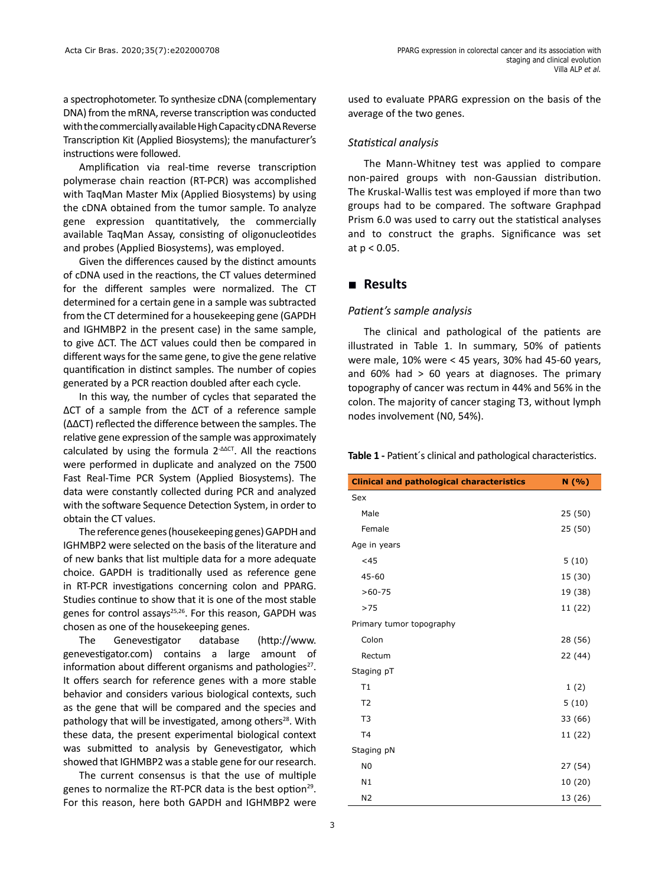a spectrophotometer. To synthesize cDNA (complementary DNA) from the mRNA, reverse transcription was conducted with the commercially available High Capacity cDNA Reverse Transcription Kit (Applied Biosystems); the manufacturer's instructions were followed.

Amplification via real-time reverse transcription polymerase chain reaction (RT-PCR) was accomplished with TaqMan Master Mix (Applied Biosystems) by using the cDNA obtained from the tumor sample. To analyze gene expression quantitatively, the commercially available TaqMan Assay, consisting of oligonucleotides and probes (Applied Biosystems), was employed.

Given the differences caused by the distinct amounts of cDNA used in the reactions, the CT values determined for the different samples were normalized. The CT determined for a certain gene in a sample was subtracted from the CT determined for a housekeeping gene (GAPDH and IGHMBP2 in the present case) in the same sample, to give ∆CT. The ∆CT values could then be compared in different ways for the same gene, to give the gene relative quantification in distinct samples. The number of copies generated by a PCR reaction doubled after each cycle.

In this way, the number of cycles that separated the ∆CT of a sample from the ∆CT of a reference sample (∆∆CT) reflected the difference between the samples. The relative gene expression of the sample was approximately calculated by using the formula 2<sup>-∆∆CT</sup>. All the reactions were performed in duplicate and analyzed on the 7500 Fast Real-Time PCR System (Applied Biosystems). The data were constantly collected during PCR and analyzed with the software Sequence Detection System, in order to obtain the CT values.

The reference genes (housekeeping genes) GAPDH and IGHMBP2 were selected on the basis of the literature and of new banks that list multiple data for a more adequate choice. GAPDH is traditionally used as reference gene in RT-PCR investigations concerning colon and PPARG. Studies continue to show that it is one of the most stable genes for control assays<sup>25,26</sup>. For this reason, GAPDH was chosen as one of the housekeeping genes.

The Genevestigator database (http://www. genevestigator.com) contains a large amount of information about different organisms and pathologies<sup>27</sup>. It offers search for reference genes with a more stable behavior and considers various biological contexts, such as the gene that will be compared and the species and pathology that will be investigated, among others<sup>28</sup>. With these data, the present experimental biological context was submitted to analysis by Genevestigator, which showed that IGHMBP2 was a stable gene for our research.

The current consensus is that the use of multiple genes to normalize the RT-PCR data is the best option<sup>29</sup>. For this reason, here both GAPDH and IGHMBP2 were used to evaluate PPARG expression on the basis of the average of the two genes.

## *Statistical analysis*

The Mann-Whitney test was applied to compare non-paired groups with non-Gaussian distribution. The Kruskal-Wallis test was employed if more than two groups had to be compared. The software Graphpad Prism 6.0 was used to carry out the statistical analyses and to construct the graphs. Significance was set at p < 0.05.

## **■ Results**

### *Patient's sample analysis*

The clinical and pathological of the patients are illustrated in Table 1. In summary, 50% of patients were male, 10% were < 45 years, 30% had 45-60 years, and  $60\%$  had  $> 60$  years at diagnoses. The primary topography of cancer was rectum in 44% and 56% in the colon. The majority of cancer staging T3, without lymph nodes involvement (N0, 54%).

**Table 1 -** Patient´s clinical and pathological characteristics.

| <b>Clinical and pathological characteristics</b> | N(%)    |
|--------------------------------------------------|---------|
| Sex                                              |         |
| Male                                             | 25 (50) |
| Female                                           | 25 (50) |
| Age in years                                     |         |
| <45                                              | 5(10)   |
| 45-60                                            | 15 (30) |
| $>60-75$                                         | 19 (38) |
| >75                                              | 11 (22) |
| Primary tumor topography                         |         |
| Colon                                            | 28 (56) |
| Rectum                                           | 22 (44) |
| Staging pT                                       |         |
| T1                                               | 1(2)    |
| T <sub>2</sub>                                   | 5(10)   |
| T <sub>3</sub>                                   | 33 (66) |
| T <sub>4</sub>                                   | 11 (22) |
| Staging pN                                       |         |
| N <sub>0</sub>                                   | 27 (54) |
| N1                                               | 10 (20) |
| N <sub>2</sub>                                   | 13 (26) |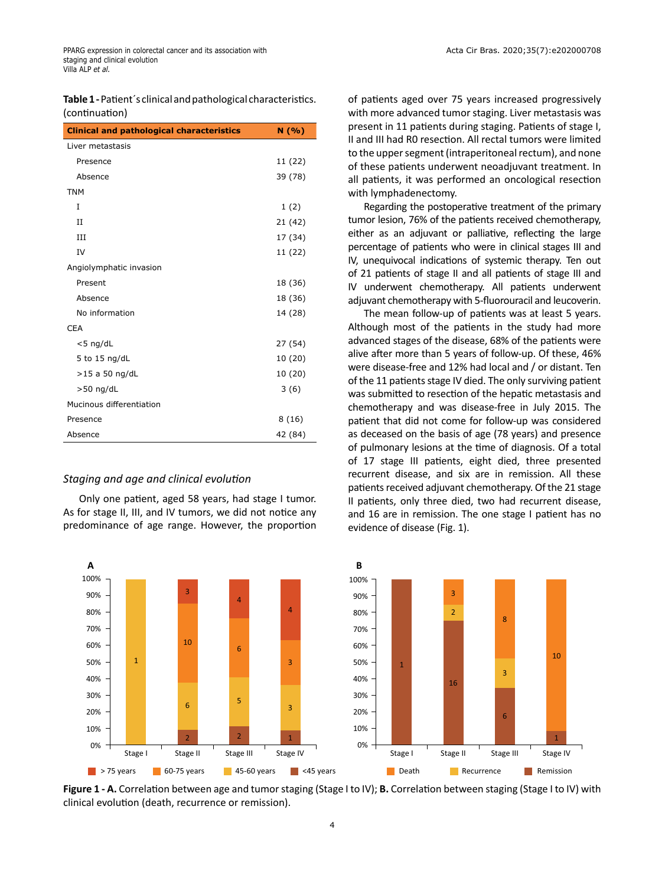**Table 1 -** Patient´s clinical and pathological characteristics. (continuation)

| <b>Clinical and pathological characteristics</b> | N(96)   |
|--------------------------------------------------|---------|
| Liver metastasis                                 |         |
| Presence                                         | 11 (22) |
| Absence                                          | 39 (78) |
| <b>TNM</b>                                       |         |
| T                                                | 1(2)    |
| $_{II}$                                          | 21 (42) |
| III                                              | 17 (34) |
| IV                                               | 11 (22) |
| Angiolymphatic invasion                          |         |
| Present                                          | 18 (36) |
| Absence                                          | 18 (36) |
| No information                                   | 14 (28) |
| <b>CEA</b>                                       |         |
| $<$ 5 ng/dL                                      | 27 (54) |
| 5 to 15 ng/dL                                    | 10 (20) |
| $>15$ a 50 ng/dL                                 | 10 (20) |
| $>50$ ng/dL                                      | 3(6)    |
| Mucinous differentiation                         |         |
| Presence                                         | 8(16)   |
| Absence                                          | 42 (84) |

## *Staging and age and clinical evolution*

1

100% 90% 80% 70% 60% 50% 40% 30% 20% 10% 0%

Only one patient, aged 58 years, had stage I tumor. As for stage II, III, and IV tumors, we did not notice any predominance of age range. However, the proportion

3

4

6

5

10

6

of patients aged over 75 years increased progressively with more advanced tumor staging. Liver metastasis was present in 11 patients during staging. Patients of stage I, II and III had R0 resection. All rectal tumors were limited to the upper segment (intraperitoneal rectum), and none of these patients underwent neoadjuvant treatment. In all patients, it was performed an oncological resection with lymphadenectomy.

Regarding the postoperative treatment of the primary tumor lesion, 76% of the patients received chemotherapy, either as an adjuvant or palliative, reflecting the large percentage of patients who were in clinical stages III and IV, unequivocal indications of systemic therapy. Ten out of 21 patients of stage II and all patients of stage III and IV underwent chemotherapy. All patients underwent adjuvant chemotherapy with 5-fluorouracil and leucoverin.

The mean follow-up of patients was at least 5 years. Although most of the patients in the study had more advanced stages of the disease, 68% of the patients were alive after more than 5 years of follow-up. Of these, 46% were disease-free and 12% had local and / or distant. Ten of the 11 patients stage IV died. The only surviving patient was submitted to resection of the hepatic metastasis and chemotherapy and was disease-free in July 2015. The patient that did not come for follow-up was considered as deceased on the basis of age (78 years) and presence of pulmonary lesions at the time of diagnosis. Of a total of 17 stage III patients, eight died, three presented recurrent disease, and six are in remission. All these patients received adjuvant chemotherapy. Of the 21 stage II patients, only three died, two had recurrent disease, and 16 are in remission. The one stage I patient has no evidence of disease (Fig. 1).



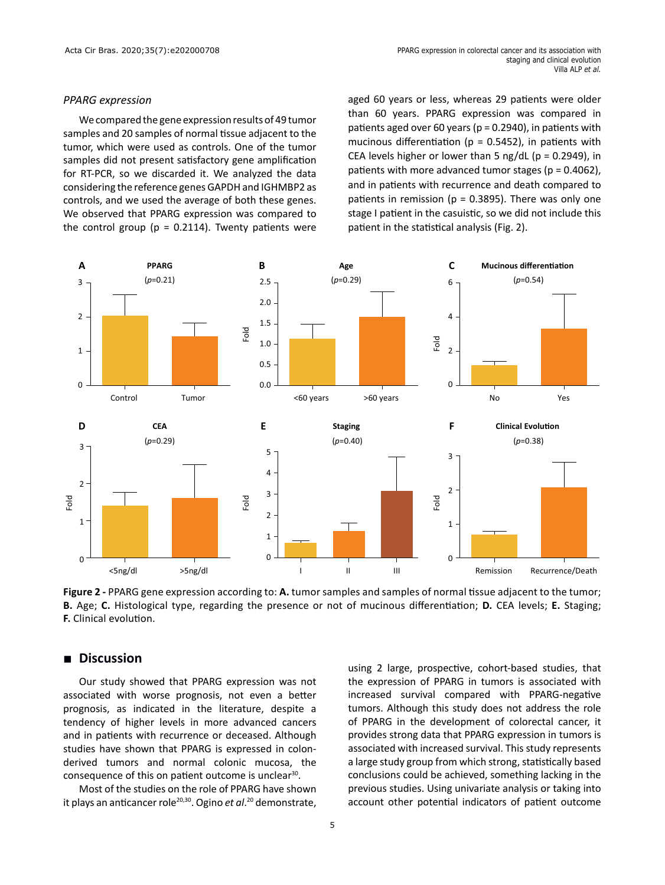#### *PPARG expression*

We compared the gene expression results of 49 tumor samples and 20 samples of normal tissue adjacent to the tumor, which were used as controls. One of the tumor samples did not present satisfactory gene amplification for RT-PCR, so we discarded it. We analyzed the data considering the reference genes GAPDH and IGHMBP2 as controls, and we used the average of both these genes. We observed that PPARG expression was compared to the control group ( $p = 0.2114$ ). Twenty patients were

aged 60 years or less, whereas 29 patients were older than 60 years. PPARG expression was compared in patients aged over 60 years ( $p = 0.2940$ ), in patients with mucinous differentiation ( $p = 0.5452$ ), in patients with CEA levels higher or lower than 5 ng/dL ( $p = 0.2949$ ), in patients with more advanced tumor stages (p = 0.4062), and in patients with recurrence and death compared to patients in remission ( $p = 0.3895$ ). There was only one stage I patient in the casuistic, so we did not include this patient in the statistical analysis (Fig. 2).



**Figure 2 -** PPARG gene expression according to: **A.** tumor samples and samples of normal tissue adjacent to the tumor; **B.** Age; **C.** Histological type, regarding the presence or not of mucinous differentiation; **D.** CEA levels; **E.** Staging; **F.** Clinical evolution.

# **■ Discussion**

Our study showed that PPARG expression was not associated with worse prognosis, not even a better prognosis, as indicated in the literature, despite a tendency of higher levels in more advanced cancers and in patients with recurrence or deceased. Although studies have shown that PPARG is expressed in colonderived tumors and normal colonic mucosa, the consequence of this on patient outcome is unclear<sup>30</sup>.

Most of the studies on the role of PPARG have shown it plays an anticancer role20,30. Ogino *et al*. <sup>20</sup> demonstrate, using 2 large, prospective, cohort-based studies, that the expression of PPARG in tumors is associated with increased survival compared with PPARG-negative tumors. Although this study does not address the role of PPARG in the development of colorectal cancer, it provides strong data that PPARG expression in tumors is associated with increased survival. This study represents a large study group from which strong, statistically based conclusions could be achieved, something lacking in the previous studies. Using univariate analysis or taking into account other potential indicators of patient outcome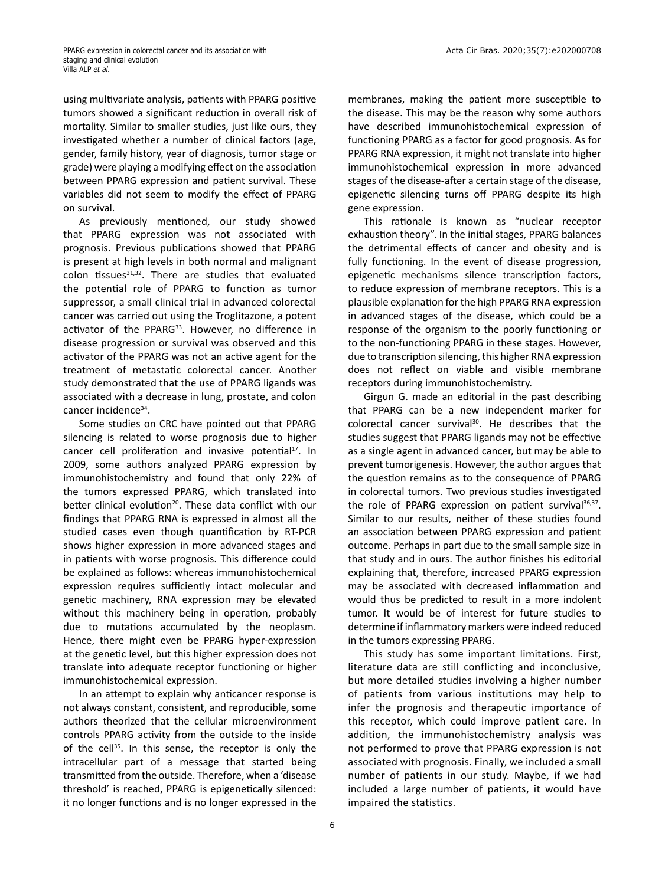using multivariate analysis, patients with PPARG positive tumors showed a significant reduction in overall risk of mortality. Similar to smaller studies, just like ours, they investigated whether a number of clinical factors (age, gender, family history, year of diagnosis, tumor stage or grade) were playing a modifying effect on the association between PPARG expression and patient survival. These variables did not seem to modify the effect of PPARG on survival.

As previously mentioned, our study showed that PPARG expression was not associated with prognosis. Previous publications showed that PPARG is present at high levels in both normal and malignant colon tissues $31,32$ . There are studies that evaluated the potential role of PPARG to function as tumor suppressor, a small clinical trial in advanced colorectal cancer was carried out using the Troglitazone, a potent activator of the PPARG<sup>33</sup>. However, no difference in disease progression or survival was observed and this activator of the PPARG was not an active agent for the treatment of metastatic colorectal cancer. Another study demonstrated that the use of PPARG ligands was associated with a decrease in lung, prostate, and colon cancer incidence<sup>34</sup>.

Some studies on CRC have pointed out that PPARG silencing is related to worse prognosis due to higher cancer cell proliferation and invasive potential<sup>17</sup>. In 2009, some authors analyzed PPARG expression by immunohistochemistry and found that only 22% of the tumors expressed PPARG, which translated into better clinical evolution<sup>20</sup>. These data conflict with our findings that PPARG RNA is expressed in almost all the studied cases even though quantification by RT-PCR shows higher expression in more advanced stages and in patients with worse prognosis. This difference could be explained as follows: whereas immunohistochemical expression requires sufficiently intact molecular and genetic machinery, RNA expression may be elevated without this machinery being in operation, probably due to mutations accumulated by the neoplasm. Hence, there might even be PPARG hyper-expression at the genetic level, but this higher expression does not translate into adequate receptor functioning or higher immunohistochemical expression.

In an attempt to explain why anticancer response is not always constant, consistent, and reproducible, some authors theorized that the cellular microenvironment controls PPARG activity from the outside to the inside of the cell<sup>35</sup>. In this sense, the receptor is only the intracellular part of a message that started being transmitted from the outside. Therefore, when a 'disease threshold' is reached, PPARG is epigenetically silenced: it no longer functions and is no longer expressed in the

membranes, making the patient more susceptible to the disease. This may be the reason why some authors have described immunohistochemical expression of functioning PPARG as a factor for good prognosis. As for PPARG RNA expression, it might not translate into higher immunohistochemical expression in more advanced stages of the disease-after a certain stage of the disease, epigenetic silencing turns off PPARG despite its high gene expression.

This rationale is known as "nuclear receptor exhaustion theory". In the initial stages, PPARG balances the detrimental effects of cancer and obesity and is fully functioning. In the event of disease progression, epigenetic mechanisms silence transcription factors, to reduce expression of membrane receptors. This is a plausible explanation for the high PPARG RNA expression in advanced stages of the disease, which could be a response of the organism to the poorly functioning or to the non-functioning PPARG in these stages. However, due to transcription silencing, this higher RNA expression does not reflect on viable and visible membrane receptors during immunohistochemistry.

Girgun G. made an editorial in the past describing that PPARG can be a new independent marker for colorectal cancer survival<sup>30</sup>. He describes that the studies suggest that PPARG ligands may not be effective as a single agent in advanced cancer, but may be able to prevent tumorigenesis. However, the author argues that the question remains as to the consequence of PPARG in colorectal tumors. Two previous studies investigated the role of PPARG expression on patient survival $36,37$ . Similar to our results, neither of these studies found an association between PPARG expression and patient outcome. Perhaps in part due to the small sample size in that study and in ours. The author finishes his editorial explaining that, therefore, increased PPARG expression may be associated with decreased inflammation and would thus be predicted to result in a more indolent tumor. It would be of interest for future studies to determine if inflammatory markers were indeed reduced in the tumors expressing PPARG.

This study has some important limitations. First, literature data are still conflicting and inconclusive, but more detailed studies involving a higher number of patients from various institutions may help to infer the prognosis and therapeutic importance of this receptor, which could improve patient care. In addition, the immunohistochemistry analysis was not performed to prove that PPARG expression is not associated with prognosis. Finally, we included a small number of patients in our study. Maybe, if we had included a large number of patients, it would have impaired the statistics.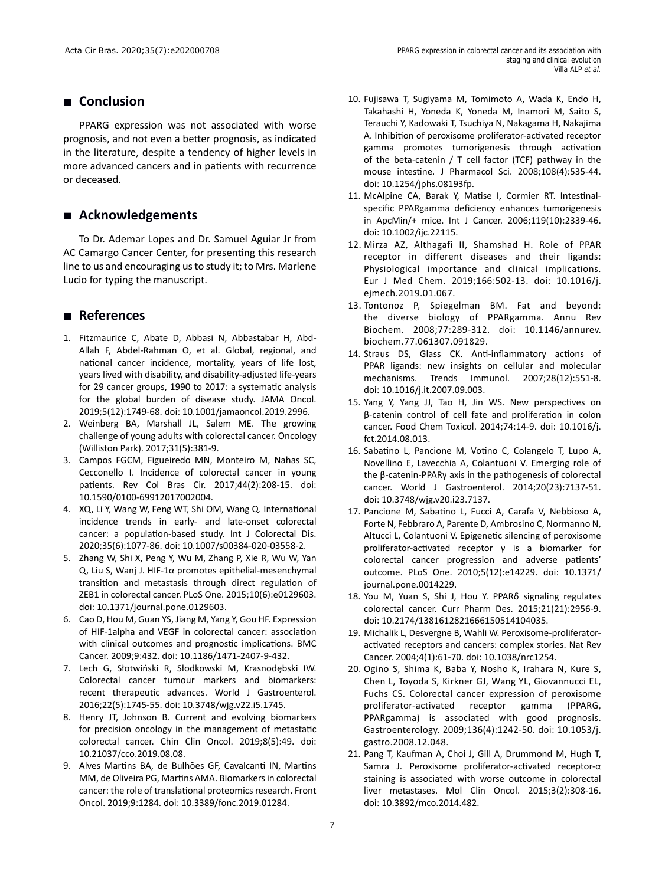# **■ Conclusion**

PPARG expression was not associated with worse prognosis, and not even a better prognosis, as indicated in the literature, despite a tendency of higher levels in more advanced cancers and in patients with recurrence or deceased.

# **■ Acknowledgements**

To Dr. Ademar Lopes and Dr. Samuel Aguiar Jr from AC Camargo Cancer Center, for presenting this research line to us and encouraging us to study it; to Mrs. Marlene Lucio for typing the manuscript.

# **■ References**

- 1. Fitzmaurice C, Abate D, Abbasi N, Abbastabar H, Abd-Allah F, Abdel-Rahman O, et al. Global, regional, and national cancer incidence, mortality, years of life lost, years lived with disability, and disability-adjusted life-years for 29 cancer groups, 1990 to 2017: a systematic analysis for the global burden of disease study. JAMA Oncol. 2019;5(12):1749-68. doi: 10.1001/jamaoncol.2019.2996.
- 2. Weinberg BA, Marshall JL, Salem ME. The growing challenge of young adults with colorectal cancer. Oncology (Williston Park). 2017;31(5):381-9.
- 3. Campos FGCM, Figueiredo MN, Monteiro M, Nahas SC, Cecconello I. Incidence of colorectal cancer in young patients. Rev Col Bras Cir. 2017;44(2):208-15. doi: 10.1590/0100-69912017002004.
- 4. XQ, Li Y, Wang W, Feng WT, Shi OM, Wang Q. International incidence trends in early- and late-onset colorectal cancer: a population-based study. Int J Colorectal Dis. 2020;35(6):1077-86. doi: 10.1007/s00384-020-03558-2.
- 5. Zhang W, Shi X, Peng Y, Wu M, Zhang P, Xie R, Wu W, Yan Q, Liu S, Wanj J. HIF-1α promotes epithelial-mesenchymal transition and metastasis through direct regulation of ZEB1 in colorectal cancer. PLoS One. 2015;10(6):e0129603. doi: 10.1371/journal.pone.0129603.
- 6. Cao D, Hou M, Guan YS, Jiang M, Yang Y, Gou HF. Expression of HIF-1alpha and VEGF in colorectal cancer: association with clinical outcomes and prognostic implications. BMC Cancer. 2009;9:432. doi: 10.1186/1471-2407-9-432.
- 7. Lech G, Słotwiński R, Słodkowski M, Krasnodębski IW. Colorectal cancer tumour markers and biomarkers: recent therapeutic advances. World J Gastroenterol. 2016;22(5):1745-55. doi: 10.3748/wjg.v22.i5.1745.
- 8. Henry JT, Johnson B. Current and evolving biomarkers for precision oncology in the management of metastatic colorectal cancer. Chin Clin Oncol. 2019;8(5):49. doi: 10.21037/cco.2019.08.08.
- 9. Alves Martins BA, de Bulhões GF, Cavalcanti IN, Martins MM, de Oliveira PG, Martins AMA. Biomarkers in colorectal cancer: the role of translational proteomics research. Front Oncol. 2019;9:1284. doi: 10.3389/fonc.2019.01284.
- 10. Fujisawa T, Sugiyama M, Tomimoto A, Wada K, Endo H, Takahashi H, Yoneda K, Yoneda M, Inamori M, Saito S, Terauchi Y, Kadowaki T, Tsuchiya N, Nakagama H, Nakajima A. Inhibition of peroxisome proliferator-activated receptor gamma promotes tumorigenesis through activation of the beta-catenin / T cell factor (TCF) pathway in the mouse intestine. J Pharmacol Sci. 2008;108(4):535-44. doi: 10.1254/jphs.08193fp.
- 11. McAlpine CA, Barak Y, Matise I, Cormier RT. Intestinalspecific PPARgamma deficiency enhances tumorigenesis in ApcMin/+ mice. Int J Cancer. 2006;119(10):2339-46. doi: 10.1002/ijc.22115.
- 12. Mirza AZ, Althagafi II, Shamshad H. Role of PPAR receptor in different diseases and their ligands: Physiological importance and clinical implications. Eur J Med Chem. 2019;166:502-13. doi: 10.1016/j. ejmech.2019.01.067.
- 13. Tontonoz P, Spiegelman BM. Fat and beyond: the diverse biology of PPARgamma. Annu Rev Biochem. 2008;77:289-312. doi: 10.1146/annurev. biochem.77.061307.091829.
- 14. Straus DS, Glass CK. Anti-inflammatory actions of PPAR ligands: new insights on cellular and molecular mechanisms. Trends Immunol. 2007;28(12):551-8. doi: 10.1016/j.it.2007.09.003.
- 15. Yang Y, Yang JJ, Tao H, Jin WS. New perspectives on β-catenin control of cell fate and proliferation in colon cancer. Food Chem Toxicol. 2014;74:14-9. doi: 10.1016/j. fct.2014.08.013.
- 16. Sabatino L, Pancione M, Votino C, Colangelo T, Lupo A, Novellino E, Lavecchia A, Colantuoni V. Emerging role of the β-catenin-PPARγ axis in the pathogenesis of colorectal cancer. World J Gastroenterol. 2014;20(23):7137-51. doi: 10.3748/wjg.v20.i23.7137.
- 17. Pancione M, Sabatino L, Fucci A, Carafa V, Nebbioso A, Forte N, Febbraro A, Parente D, Ambrosino C, Normanno N, Altucci L, Colantuoni V. Epigenetic silencing of peroxisome proliferator-activated receptor γ is a biomarker for colorectal cancer progression and adverse patients' outcome. PLoS One. 2010;5(12):e14229. doi: 10.1371/ journal.pone.0014229.
- 18. You M, Yuan S, Shi J, Hou Y. PPARδ signaling regulates colorectal cancer. Curr Pharm Des. 2015;21(21):2956-9. doi: 10.2174/1381612821666150514104035.
- 19. Michalik L, Desvergne B, Wahli W. Peroxisome-proliferatoractivated receptors and cancers: complex stories. Nat Rev Cancer. 2004;4(1):61-70. doi: 10.1038/nrc1254.
- 20. Ogino S, Shima K, Baba Y, Nosho K, Irahara N, Kure S, Chen L, Toyoda S, Kirkner GJ, Wang YL, Giovannucci EL, Fuchs CS. Colorectal cancer expression of peroxisome proliferator-activated receptor gamma (PPARG, PPARgamma) is associated with good prognosis. Gastroenterology. 2009;136(4):1242-50. doi: 10.1053/j. gastro.2008.12.048.
- 21. Pang T, Kaufman A, Choi J, Gill A, Drummond M, Hugh T, Samra J. Peroxisome proliferator-activated receptor-α staining is associated with worse outcome in colorectal liver metastases. Mol Clin Oncol. 2015;3(2):308-16. doi: 10.3892/mco.2014.482.